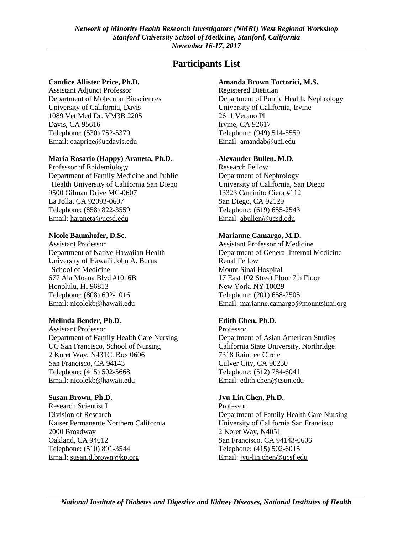# **Participants List**

### **Candice Allister Price, Ph.D.**

Assistant Adjunct Professor Department of Molecular Biosciences University of California, Davis 1089 Vet Med Dr. VM3B 2205 Davis, CA 95616 Telephone: (530) 752-5379 Email: [caaprice@ucdavis.edu](mailto:caaprice@ucdavis.edu) 

## **Maria Rosario (Happy) Araneta, Ph.D.**

Professor of Epidemiology Department of Family Medicine and Public Health University of California San Diego 9500 Gilman Drive MC-0607 La Jolla, CA 92093-0607 Telephone: (858) 822-3559 Email: [haraneta@ucsd.edu](mailto:haraneta@ucsd.edu)

#### **Nicole Baumhofer, D.Sc.**

Assistant Professor Department of Native Hawaiian Health University of Hawai'i John A. Burns School of Medicine 677 Ala Moana Blvd #1016B Honolulu, HI 96813 Telephone: (808) 692-1016 Email: [nicolekb@hawaii.edu](mailto:nicolekb@hawaii.edu)

### **Melinda Bender, Ph.D.**

Assistant Professor Department of Family Health Care Nursing UC San Francisco, School of Nursing 2 Koret Way, N431C, Box 0606 San Francisco, CA 94143 Telephone: (415) 502-5668 Email: [nicolekb@hawaii.edu](mailto:nicolekb@hawaii.edu) 

### **Susan Brown, Ph.D.**

Research Scientist I Division of Research Kaiser Permanente Northern California 2000 Broadway Oakland, CA 94612 Telephone: (510) 891-3544 Email: [susan.d.brown@kp.org](mailto:susan.d.brown@kp.org) 

### **Amanda Brown Tortorici, M.S.**

Registered Dietitian Department of Public Health, Nephrology University of California, Irvine 2611 Verano Pl Irvine, CA 92617 Telephone: (949) 514-5559 Email: [amandab@uci.edu](mailto:amandab@uci.edu) 

#### **Alexander Bullen, M.D.**

Research Fellow Department of Nephrology University of California, San Diego 13323 Caminito Ciera #112 San Diego, CA 92129 Telephone: (619) 655-2543 Email: [abullen@ucsd.edu](mailto:abullen@ucsd.edu) 

### **Marianne Camargo, M.D.**

Assistant Professor of Medicine Department of General Internal Medicine Renal Fellow Mount Sinai Hospital 17 East 102 Street Floor 7th Floor New York, NY 10029 Telephone: (201) 658-2505 Email: [marianne.camargo@mountsinai.org](mailto:marianne.camargo@mountsinai.org) 

### **Edith Chen, Ph.D.**

Professor Department of Asian American Studies California State University, Northridge 7318 Raintree Circle Culver City, CA 90230 Telephone: (512) 784-6041 Email: [edith.chen@csun.edu](mailto:edith.chen@csun.edu) 

### **Jyu-Lin Chen, Ph.D.**

Professor Department of Family Health Care Nursing University of California San Francisco 2 Koret Way, N405L San Francisco, CA 94143-0606 Telephone: (415) 502-6015 Email: [jyu-lin.chen@ucsf.edu](mailto:jyu-lin.chen@ucsf.edu)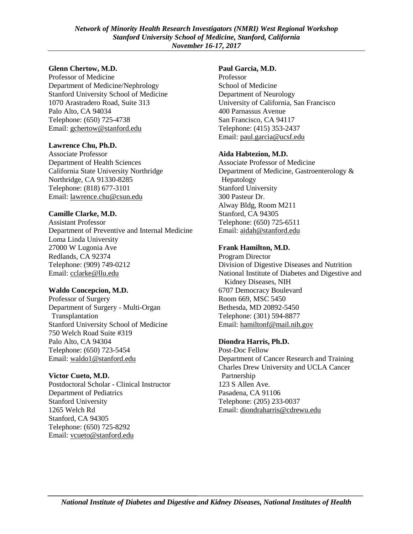### **Glenn Chertow, M.D.**

Professor of Medicine Department of Medicine/Nephrology Stanford University School of Medicine 1070 Arastradero Road, Suite 313 Palo Alto, CA 94034 Telephone: (650) 725-4738 Email: [gchertow@stanford.edu](mailto:gchertow@stanford.edu)

## **Lawrence Chu, Ph.D.**

Associate Professor Department of Health Sciences California State University Northridge Northridge, CA 91330-8285 Telephone: (818) 677-3101 Email: [lawrence.chu@csun.edu](mailto:lawrence.chu@csun.edu)

## **Camille Clarke, M.D.**

Assistant Professor Department of Preventive and Internal Medicine Loma Linda University 27000 W Lugonia Ave Redlands, CA 92374 Telephone: (909) 749-0212 Email: [cclarke@llu.edu](mailto:cclarke@llu.edu)

## **Waldo Concepcion, M.D.**

Professor of Surgery Department of Surgery - Multi-Organ Transplantation Stanford University School of Medicine 750 Welch Road Suite #319 Palo Alto, CA 94304 Telephone: (650) 723-5454 Email: [waldo1@stanford.edu](mailto:waldo1@stanford.edu)

## **Victor Cueto, M.D.**

Postdoctoral Scholar - Clinical Instructor Department of Pediatrics Stanford University 1265 Welch Rd Stanford, CA 94305 Telephone: (650) 725-8292 Email: [vcueto@stanford.edu](mailto:vcueto@stanford.edu)

## **Paul Garcia, M.D.**

Professor School of Medicine Department of Neurology University of California, San Francisco 400 Parnassus Avenue San Francisco, CA 94117 Telephone: (415) 353-2437 Email: [paul.garcia@ucsf.edu](mailto:paul.garcia@ucsf.edu)

## **Aida Habtezion, M.D.**

Associate Professor of Medicine Department of Medicine, Gastroenterology & Hepatology Stanford University 300 Pasteur Dr. Alway Bldg, Room M211 Stanford, CA 94305 Telephone: (650) 725-6511 Email: [aidah@stanford.edu](mailto:aidah@stanford.edu)

## **Frank Hamilton, M.D.**

Program Director Division of Digestive Diseases and Nutrition National Institute of Diabetes and Digestive and Kidney Diseases, NIH 6707 Democracy Boulevard Room 669, MSC 5450 Bethesda, MD 20892-5450 Telephone: (301) 594-8877 Email: [hamiltonf@mail.nih.gov](mailto:hamiltonf@mail.nih.gov)

## **Diondra Harris, Ph.D.**

Post-Doc Fellow Department of Cancer Research and Training Charles Drew University and UCLA Cancer Partnership 123 S Allen Ave. Pasadena, CA 91106 Telephone: (205) 233-0037 Email: [diondraharris@cdrewu.edu](mailto:diondraharris@cdrewu.edu)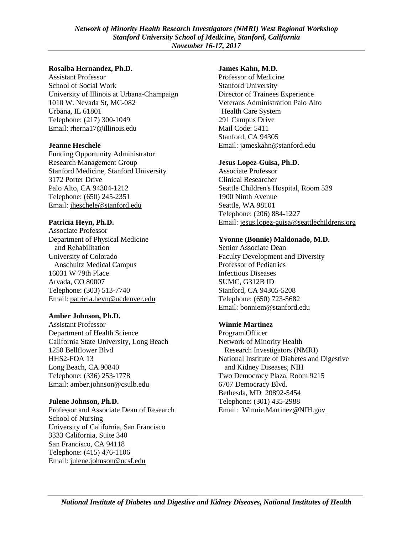#### **Rosalba Hernandez, Ph.D.**

Assistant Professor School of Social Work University of Illinois at Urbana-Champaign 1010 W. Nevada St, MC-082 Urbana, IL 61801 Telephone: (217) 300-1049 Email: [rherna17@illinois.edu](mailto:rherna17@illinois.edu)

#### **Jeanne Heschele**

Funding Opportunity Administrator Research Management Group Stanford Medicine, Stanford University 3172 Porter Drive Palo Alto, CA 94304-1212 Telephone: (650) 245-2351 Email: [jheschele@stanford.edu](mailto:jheschele@stanford.edu)

### **Patricia Heyn, Ph.D.**

Associate Professor Department of Physical Medicine and Rehabilitation University of Colorado Anschultz Medical Campus 16031 W 79th Place Arvada, CO 80007 Telephone: (303) 513-7740 Email: [patricia.heyn@ucdenver.edu](mailto:patricia.heyn@ucdenver.edu)

#### **Amber Johnson, Ph.D.**

Assistant Professor Department of Health Science California State University, Long Beach 1250 Bellflower Blvd HHS2-FOA 13 Long Beach, CA 90840 Telephone: (336) 253-1778 Email: [amber.johnson@csulb.edu](mailto:amber.johnson@csulb.edu)

#### **Julene Johnson, Ph.D.**

Professor and Associate Dean of Research School of Nursing University of California, San Francisco 3333 California, Suite 340 San Francisco, CA 94118 Telephone: (415) 476-1106 Email: [julene.johnson@ucsf.edu](mailto:julene.johnson@ucsf.edu)

#### **James Kahn, M.D.**

Professor of Medicine Stanford University Director of Trainees Experience Veterans Administration Palo Alto Health Care System 291 Campus Drive Mail Code: 5411 Stanford, CA 94305 Email: [jameskahn@stanford.edu](mailto:jameskahn@stanford.edu)

#### **Jesus Lopez-Guisa, Ph.D.**

Associate Professor Clinical Researcher Seattle Children's Hospital, Room 539 1900 Ninth Avenue Seattle, WA 98101 Telephone: (206) 884-1227 Email: [jesus.lopez-guisa@seattlechildrens.org](mailto:jesus.lopez-guisa@seattlechildrens.org)

#### **Yvonne (Bonnie) Maldonado, M.D.**

Senior Associate Dean Faculty Development and Diversity Professor of Pediatrics Infectious Diseases SUMC, G312B ID Stanford, CA 94305-5208 Telephone: (650) 723-5682 Email: [bonniem@stanford.edu](mailto:bonniem@stanford.edu)

### **Winnie Martinez**

Program Officer Network of Minority Health Research Investigators (NMRI) National Institute of Diabetes and Digestive and Kidney Diseases, NIH Two Democracy Plaza, Room 9215 6707 Democracy Blvd. Bethesda, MD 20892-5454 Telephone: (301) 435-2988 Email: [Winnie.Martinez@NIH.gov](mailto:Winnie.Martinez@NIH.gov)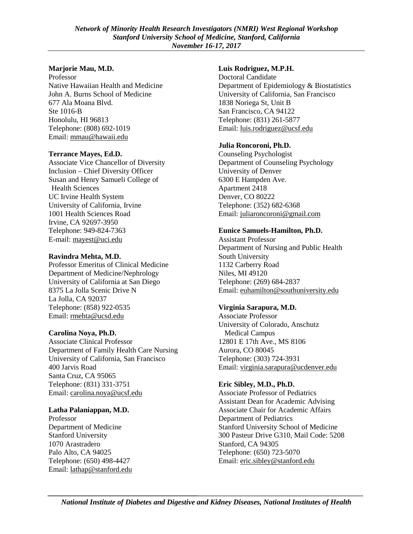### **Marjorie Mau, M.D.**

Professor Native Hawaiian Health and Medicine John A. Burns School of Medicine 677 Ala Moana Blvd. Ste 1016-B Honolulu, HI 96813 Telephone: (808) 692-1019 Email: [mmau@hawaii.edu](mailto:mmau@hawaii.edu)

## **Terrance Mayes, Ed.D.**

Associate Vice Chancellor of Diversity Inclusion – Chief Diversity Officer Susan and Henry Samueli College of Health Sciences UC Irvine Health System University of California, Irvine 1001 Health Sciences Road Irvine, CA 92697-3950 Telephone: 949-824-7363 E-mail[: mayest@uci.edu](mailto:mayest@uci.edu)

## **Ravindra Mehta, M.D.**

Professor Emeritus of Clinical Medicine Department of Medicine/Nephrology University of California at San Diego 8375 La Jolla Scenic Drive N La Jolla, CA 92037 Telephone: (858) 922-0535 Email: [rmehta@ucsd.edu](mailto:rmehta@ucsd.edu)

### **Carolina Noya, Ph.D.**

Associate Clinical Professor Department of Family Health Care Nursing University of California, San Francisco 400 Jarvis Road Santa Cruz, CA 95065 Telephone: (831) 331-3751 Email: [carolina.noya@ucsf.edu](mailto:carolina.noya@ucsf.edu)

## **Latha Palaniappan, M.D.**

Professor Department of Medicine Stanford University 1070 Arastradero Palo Alto, CA 94025 Telephone: (650) 498-4427 Email: [lathap@stanford.edu](mailto:lathap@stanford.edu)

## **Luis Rodriguez, M.P.H.**

Doctoral Candidate Department of Epidemiology & Biostatistics University of California, San Francisco 1838 Noriega St, Unit B San Francisco, CA 94122 Telephone: (831) 261-5877 Email: [luis.rodriguez@ucsf.edu](mailto:luis.rodriguez@ucsf.edu)

## **Julia Roncoroni, Ph.D.**

Counseling Psychologist Department of Counseling Psychology University of Denver 6300 E Hampden Ave. Apartment 2418 Denver, CO 80222 Telephone: (352) 682-6368 Email: [juliaroncoroni@gmail.com](mailto:juliaroncoroni@gmail.com)

## **Eunice Samuels-Hamilton, Ph.D.**

Assistant Professor Department of Nursing and Public Health South University 1132 Carberry Road Niles, MI 49120 Telephone: (269) 684-2837 Email: [euhamilton@southuniversity.edu](mailto:euhamilton@southuniversity.ed)

## **Virginia Sarapura, M.D.**

Associate Professor University of Colorado, Anschutz Medical Campus 12801 E 17th Ave., MS 8106 Aurora, CO 80045 Telephone: (303) 724-3931 Email: [virginia.sarapura@ucdenver.edu](mailto:virginia.sarapura@ucdenver.edu)

## **Eric Sibley, M.D., Ph.D.**

Associate Professor of Pediatrics Assistant Dean for Academic Advising Associate Chair for Academic Affairs Department of Pediatrics Stanford University School of Medicine 300 Pasteur Drive G310, Mail Code: 5208 Stanford, CA 94305 Telephone: (650) 723-5070 Email: [eric.sibley@stanford.edu](mailto:eric.sibley@stanford.edu)